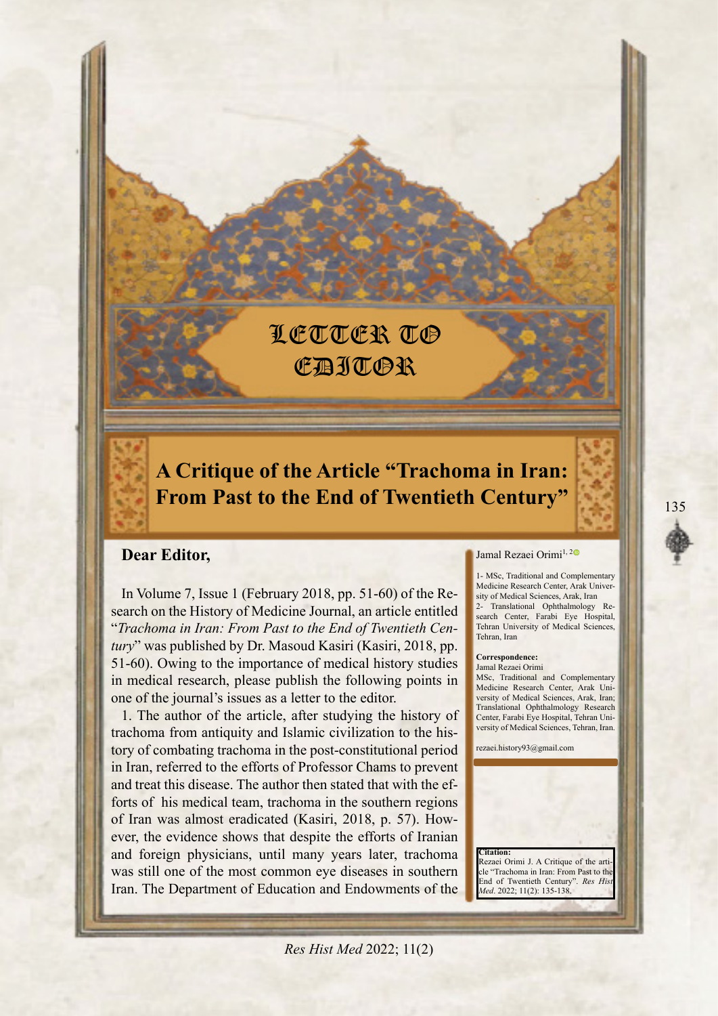# LETTER TO **CAJTOR**

## **A Critique of the Article "Trachoma in Iran: From Past to the End of Twentieth Century"**

## **Dear Editor,**

search on the History of Medicine Journal, an article entitled In Volume 7, Issue 1 (February 2018, pp.  $51-60$ ) of the Re*tury*<sup>*n*</sup> was published by Dr. Masoud Kasiri (Kasiri, 2018, pp. "Trachoma in Iran: From Past to the End of Twentieth Cen-51-60). Owing to the importance of medical history studies in medical research, please publish the following points in one of the journal's issues as a letter to the editor.

1. The author of the article, after studying the history of tory of combating trachoma in the post-constitutional period trachoma from antiquity and Islamic civilization to the hisin Iran, referred to the efforts of Professor Chams to prevent forts of his medical team, trachoma in the southern regions and treat this disease. The author then stated that with the efever, the evidence shows that despite the efforts of Iranian of Iran was almost eradicated (Kasiri, 2018, p. 57). Howand foreign physicians, until many years later, trachoma was still one of the most common eye diseases in southern Iran. The Department of Education and Endowments of the

#### Jamal Rezaei Orimi<sup>1,[2](https://orcid.org/0000-0002-2356-5552)0</sup>

1- MSc, Traditional and Complementary sity of Medical Sciences, Arak, Iran Medicine Research Center, Arak Universearch Center, Farabi Eye Hospital, 2- Translational Ophthalmology Re-Tehran University of Medical Sciences, Tehran Iran

#### Correspondence:

Jamal Rezaei Orimi MSc, Traditional and Complementary versity of Medical Sciences, Arak, Iran; Medicine Research Center, Arak Uni-Translational Ophthalmology Research versity of Medical Sciences, Tehran, Iran. Center, Farabi Eye Hospital, Tehran Uni-

rezaei.history93@gmail.com

cle "Trachoma in Iran: From Past to the **End of Twentieth Century"**. Res His Med. 2022; 11(2): 135-138

Rezaei Orimi J. A Critique of the arti

 **:Citation**

*Res Hist Med 2022*; 11(2)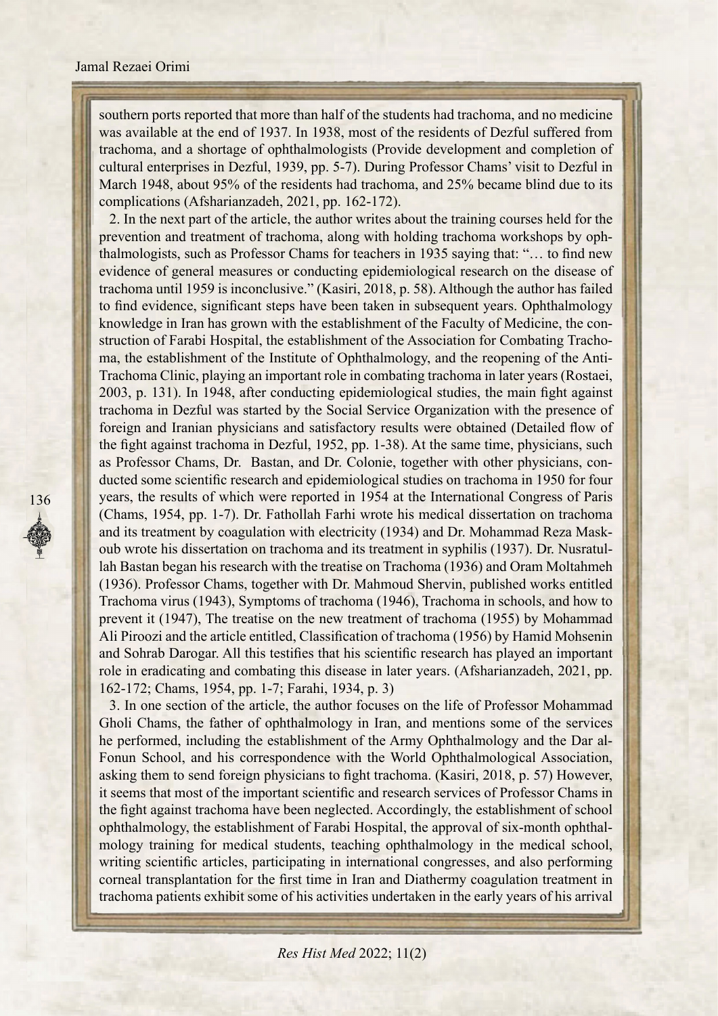#### Jamal Rezaei Orimi

southern ports reported that more than half of the students had trachoma, and no medicine was available at the end of 1937. In 1938, most of the residents of Dezful suffered from trachoma, and a shortage of ophthalmologists (Provide development and completion of cultural enterprises in Dezful, 1939, pp. 5-7). During Professor Chams' visit to Dezful in March 1948, about 95% of the residents had trachoma, and 25% became blind due to its complications (Afsharianzadeh, 2021, pp. 162-172).

2. In the next part of the article, the author writes about the training courses held for the thalmologists, such as Professor Chams for teachers in 1935 saying that: "... to find new prevention and treatment of trachoma, along with holding trachoma workshops by ophevidence of general measures or conducting epidemiological research on the disease of trachoma until 1959 is inconclusive." (Kasiri, 2018, p. 58). Although the author has failed to find evidence, significant steps have been taken in subsequent years. Ophthalmology Trachoma Clinic, playing an important role in combating trachoma in later years (Rostaei, ma, the establishment of the Institute of Ophthalmology, and the reopening of the Antistruction of Farabi Hospital, the establishment of the Association for Combating Trachoknowledge in Iran has grown with the establishment of the Faculty of Medicine, the con- $2003$ , p. 131). In 1948, after conducting epidemiological studies, the main fight against trachoma in Dezful was started by the Social Service Organization with the presence of foreign and Iranian physicians and satisfactory results were obtained (Detailed flow of the fight against trachoma in Dezful, 1952, pp. 1-38). At the same time, physicians, such ducted some scientific research and epidemiological studies on trachoma in 1950 for four as Professor Chams, Dr. Bastan, and Dr. Colonie, together with other physicians, conyears, the results of which were reported in 1954 at the International Congress of Paris (Chams, 1954, pp. 1-7). Dr. Fathollah Farhi wrote his medical dissertation on trachoma oub wrote his dissertation on trachoma and its treatment in syphilis (1937). Dr. Nusratullah-Bastan began his research with the treatise on Trachoma (1936) and Oram Moltahmeh and its treatment by coagulation with electricity (1934) and Dr. Mohammad Reza Mask-<br>oub wrote his dissertation on trachoma and its treatment in syphilis (1937). Dr. Nusratul-(1936). Professor Chams, together with Dr. Mahmoud Shervin, published works entitled Trachoma virus (1943), Symptoms of trachoma (1946), Trachoma in schools, and how to prevent it (1947), The treatise on the new treatment of trachoma (1955) by Mohammad Ali Piroozi and the article entitled, Classification of trachoma (1956) by Hamid Mohsenin and Sohrab Darogar. All this testifies that his scientific research has played an important role in eradicating and combating this disease in later years. (Afsharianzadeh, 2021, pp. 162-172; Chams, 1954, pp. 1-7; Farahi, 1934, p. 3)

3. In one section of the article, the author focuses on the life of Professor Mohammad Gholi Chams, the father of ophthalmology in Iran, and mentions some of the services Fonun School, and his correspondence with the World Ophthalmological Association, he performed, including the establishment of the Army Ophthalmology and the Dar alasking them to send foreign physicians to fight trachoma. (Kasiri, 2018, p. 57) However, it seems that most of the important scientific and research services of Professor Chams in the fight against trachoma have been neglected. Accordingly, the establishment of school mology training for medical students, teaching ophthalmology in the medical school, ophthal mology, the establishment of Farabi Hospital, the approval of six-month ophthalwriting scientific articles, participating in international congresses, and also performing corneal transplantation for the first time in Iran and Diathermy coagulation treatment in trachoma patients exhibit some of his activities undertaken in the early years of his arrival

*Res Hist Med 2022*; 11(2)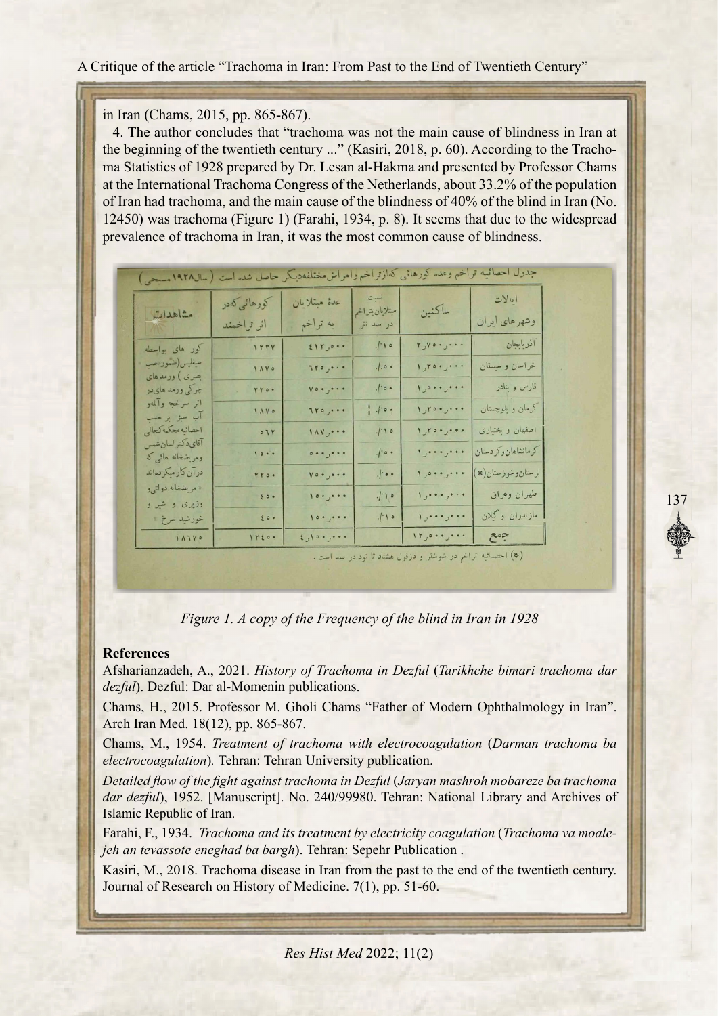#### A Critique of the article "Trachoma in Iran: From Past to the End of Twentieth Century"

#### in Iran (Chams, 2015, pp. 865-867).

4. The author concludes that "trachoma was not the main cause of blindness in Iran at the beginning of the twentieth century ..." (Kasiri, 2018, p. 60). According to the Trachoma-Statistics of 1928 prepared by Dr. Lesan al-Hakma and presented by Professor Chams at the International Trachoma Congress of the Netherlands, about 33.2% of the population of Iran had trachoma, and the main cause of the blindness of  $40\%$  of the blind in Iran (No. 12450) was trachoma (Figure 1) (Farahi, 1934, p. 8). It seems that due to the widespread prevalence of trachoma in Iran, it was the most common cause of blindness.

| جدول احصائيه تراخم وعده كورهائ <sub>ى</sub> كەازتراخم وأمراس مختلفەديىگر حاصل شده است (سال۱۹۲۸ مىيجى) |              |                                      |                               |                  |                     |
|-------------------------------------------------------------------------------------------------------|--------------|--------------------------------------|-------------------------------|------------------|---------------------|
|                                                                                                       | كورهائي كەدر | عدة مبتلايان                         | نسبت                          |                  | ایالات              |
| مشاهدات                                                                                               | اثر تراخمند  | به تراخم                             | مبتلايان بتراخم<br>در صد نقر  | ساكنين           | وشهرهای ایران       |
| كور هاى بواسطه                                                                                        | IFFV         | 11r,0                                | .100                          | $r_{y}$ $\cdots$ | آذريابجان           |
| سيفليس(ضمورءص<br>بصری ) ورمد های                                                                      | 1 A V 0      | 110, 000                             | $. . \circ$ .                 | 1, 10, 10,       | خراسان و سیستان     |
| چرکی ورمد های در                                                                                      | rro.         | $\mathbf{v} \circ \cdot \cdot \cdot$ | $\cdot$ / $\cdot \circ \cdot$ | 1, 0, , 0        | قارس و بنادر        |
| اثر سرخجه وآللهو<br>آب سبز بر حسب                                                                     | 1 A V 0      | $110, \ldots$                        | ,                             | 1, 100,          | كرمان و بلوچستان    |
| احصائيه محكمه كحالى                                                                                   | 071          | $\sqrt{xy}$                          | $1 - 10$                      | 1, 70, 70, 00    | اصفهان وبختيارى     |
| آقايدكتر لسان شمس<br>ومریضخانه هائ <sub>ی</sub> که                                                    | 1000         | .                                    | $\cdot$ / $\circ \cdot$       | 1, 0, 0, 0, 0, 0 | كرمانشاهان وكردستان |
| درآن كارميكردهاند                                                                                     | rro.         | $v \circ \cdot \cdot \cdot$          | $\cdot$ / $\cdot \cdot$       | 1, 0, 0,         | لرستان وخوزستان(*)  |
| « مريضغانه دولتي و<br>وذیری و شیر و                                                                   | $\epsilon$ . | 10.9.00                              | 1.10                          |                  | طهران وعراق         |
| خورشيد سرخ »                                                                                          | $\epsilon$ . | 10.5                                 | .1.10                         | 1, 0, 0, 0, 0, 0 | مازندران وگلان      |
| 14110                                                                                                 | 12200        | $i_{j}$ , $i_{j}$ , $i_{j}$          |                               | 11, 0.1, 0.1     | $5 - 5$             |

(\*) احصائيه تراخم در شوشتر و دزفول هشتاد تا نود در صد است .

*Figure 1. A copy of the Frequency of the blind in Iran in 1928* 

#### **References**

Afsharianzadeh, A., 2021. *History of Trachoma in Dezful (Tarikhche bimari trachoma dar*  $dezful$ ). Dezful: Dar al-Momenin publications.

Chams, H., 2015. Professor M. Gholi Chams "Father of Modern Ophthalmology in Iran". Arch Iran Med. 18(12), pp. 865-867.

**Chams**, M., 1954. *Treatment of trachoma with electrocoagulation (Darman trachoma ba*  $electrocoagulation$ . Tehran: Tehran University publication.

*Detailed flow of the fight against trachoma in Dezful (Jaryan mashroh mobareze ba trachoma* dar dezful), 1952. [Manuscript]. No. 240/99980. Tehran: National Library and Archives of Islamic Republic of Iran.

Farahi, F., 1934. *Trachoma and its treatment by electricity coagulation (Trachoma va moale-*<br>*jeh an tevassote eneghad ba bargh*). Tehran: Sepehr Publication .

Kasiri, M., 2018. Trachoma disease in Iran from the past to the end of the twentieth century. Journal of Research on History of Medicine. 7(1), pp. 51-60.